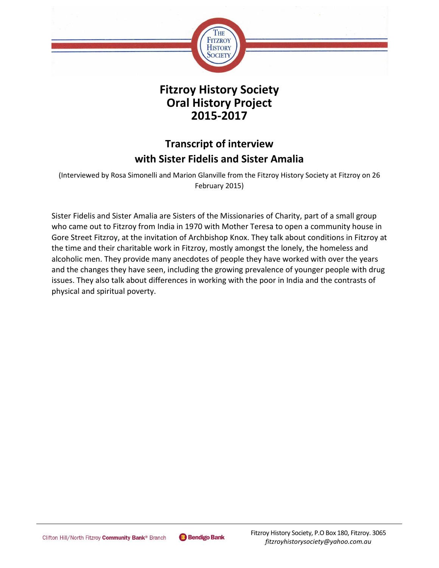

## **Fitzroy History Society Oral History Project 2015-2017**

# **Transcript of interview with Sister Fidelis and Sister Amalia**

(Interviewed by Rosa Simonelli and Marion Glanville from the Fitzroy History Society at Fitzroy on 26 February 2015)

Sister Fidelis and Sister Amalia are Sisters of the Missionaries of Charity, part of a small group who came out to Fitzroy from India in 1970 with Mother Teresa to open a community house in Gore Street Fitzroy, at the invitation of Archbishop Knox. They talk about conditions in Fitzroy at the time and their charitable work in Fitzroy, mostly amongst the lonely, the homeless and alcoholic men. They provide many anecdotes of people they have worked with over the years and the changes they have seen, including the growing prevalence of younger people with drug issues. They also talk about differences in working with the poor in India and the contrasts of physical and spiritual poverty.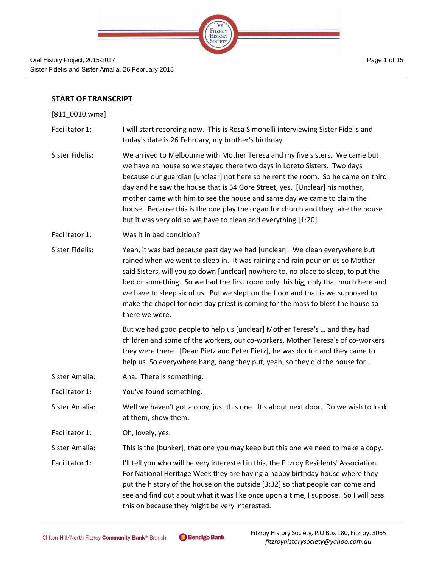

Oral History Project, 2015-2017 Sister Fidelis and Sister Amalia, 26 February 2015

### **START OF TRANSCRIPT**

[811\_0010.wma]

- Facilitator 1: I will start recording now. This is Rosa Simonelli interviewing Sister Fidelis and today's date is 26 February, my brother's birthday.
- Sister Fidelis: We arrived to Melbourne with Mother Teresa and my five sisters. We came but we have no house so we stayed there two days in Loreto Sisters. Two days because our guardian [unclear] not here so he rent the room. So he came on third day and he saw the house that is 54 Gore Street, yes. [Unclear] his mother, mother came with him to see the house and same day we came to claim the house. Because this is the one play the organ for church and they take the house but it was very old so we have to clean and everything.[1:20]
- Facilitator 1: Was it in bad condition?
- Sister Fidelis: Yeah, it was bad because past day we had [unclear]. We clean everywhere but rained when we went to sleep in. It was raining and rain pour on us so Mother said Sisters, will you go down [unclear] nowhere to, no place to sleep, to put the bed or something. So we had the first room only this big, only that much here and we have to sleep six of us. But we slept on the floor and that is we supposed to make the chapel for next day priest is coming for the mass to bless the house so there we were.

But we had good people to help us [unclear] Mother Teresa's … and they had children and some of the workers, our co-workers, Mother Teresa's of co-workers they were there. [Dean Pietz and Peter Pietz], he was doctor and they came to help us. So everywhere bang, bang they put, yeah, so they did the house for…

- Sister Amalia: Aha. There is something.
- Facilitator 1: You've found something.

Sister Amalia: Well we haven't got a copy, just this one. It's about next door. Do we wish to look at them, show them.

Facilitator 1: Oh, lovely, yes.

Sister Amalia: This is the [bunker], that one you may keep but this one we need to make a copy.

Facilitator 1: I'll tell you who will be very interested in this, the Fitzroy Residents' Association. For National Heritage Week they are having a happy birthday house where they put the history of the house on the outside [3:32] so that people can come and see and find out about what it was like once upon a time, I suppose. So I will pass this on because they might be very interested.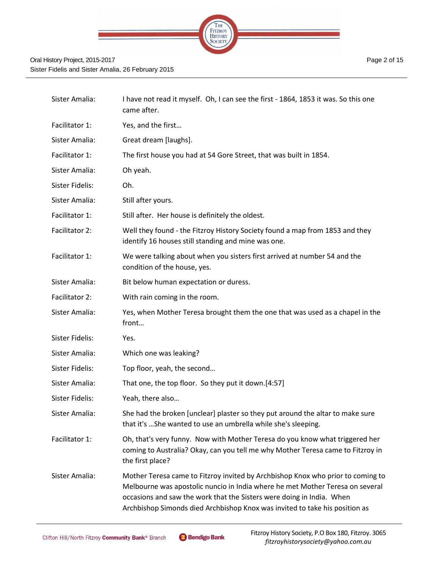

| Sister Amalia:  | I have not read it myself. Oh, I can see the first - 1864, 1853 it was. So this one<br>came after.                                                                                                                                                                                                                       |
|-----------------|--------------------------------------------------------------------------------------------------------------------------------------------------------------------------------------------------------------------------------------------------------------------------------------------------------------------------|
| Facilitator 1:  | Yes, and the first                                                                                                                                                                                                                                                                                                       |
| Sister Amalia:  | Great dream [laughs].                                                                                                                                                                                                                                                                                                    |
| Facilitator 1:  | The first house you had at 54 Gore Street, that was built in 1854.                                                                                                                                                                                                                                                       |
| Sister Amalia:  | Oh yeah.                                                                                                                                                                                                                                                                                                                 |
| Sister Fidelis: | Oh.                                                                                                                                                                                                                                                                                                                      |
| Sister Amalia:  | Still after yours.                                                                                                                                                                                                                                                                                                       |
| Facilitator 1:  | Still after. Her house is definitely the oldest.                                                                                                                                                                                                                                                                         |
| Facilitator 2:  | Well they found - the Fitzroy History Society found a map from 1853 and they<br>identify 16 houses still standing and mine was one.                                                                                                                                                                                      |
| Facilitator 1:  | We were talking about when you sisters first arrived at number 54 and the<br>condition of the house, yes.                                                                                                                                                                                                                |
| Sister Amalia:  | Bit below human expectation or duress.                                                                                                                                                                                                                                                                                   |
| Facilitator 2:  | With rain coming in the room.                                                                                                                                                                                                                                                                                            |
| Sister Amalia:  | Yes, when Mother Teresa brought them the one that was used as a chapel in the<br>front                                                                                                                                                                                                                                   |
| Sister Fidelis: | Yes.                                                                                                                                                                                                                                                                                                                     |
| Sister Amalia:  | Which one was leaking?                                                                                                                                                                                                                                                                                                   |
| Sister Fidelis: | Top floor, yeah, the second                                                                                                                                                                                                                                                                                              |
| Sister Amalia:  | That one, the top floor. So they put it down.[4:57]                                                                                                                                                                                                                                                                      |
| Sister Fidelis: | Yeah, there also                                                                                                                                                                                                                                                                                                         |
| Sister Amalia:  | She had the broken [unclear] plaster so they put around the altar to make sure<br>that it's  She wanted to use an umbrella while she's sleeping.                                                                                                                                                                         |
| Facilitator 1:  | Oh, that's very funny. Now with Mother Teresa do you know what triggered her<br>coming to Australia? Okay, can you tell me why Mother Teresa came to Fitzroy in<br>the first place?                                                                                                                                      |
| Sister Amalia:  | Mother Teresa came to Fitzroy invited by Archbishop Knox who prior to coming to<br>Melbourne was apostolic nuncio in India where he met Mother Teresa on several<br>occasions and saw the work that the Sisters were doing in India. When<br>Archbishop Simonds died Archbishop Knox was invited to take his position as |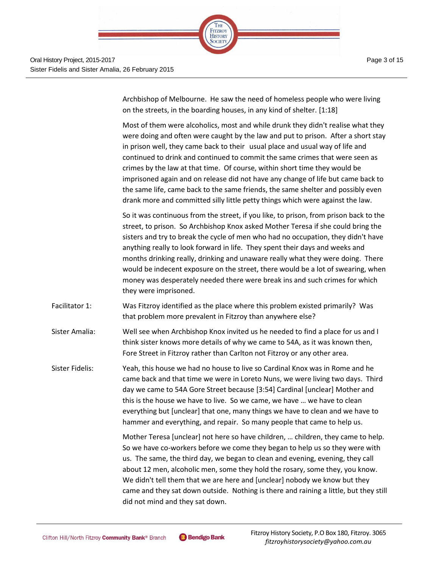

Archbishop of Melbourne. He saw the need of homeless people who were living on the streets, in the boarding houses, in any kind of shelter. [1:18]

Most of them were alcoholics, most and while drunk they didn't realise what they were doing and often were caught by the law and put to prison. After a short stay in prison well, they came back to their usual place and usual way of life and continued to drink and continued to commit the same crimes that were seen as crimes by the law at that time. Of course, within short time they would be imprisoned again and on release did not have any change of life but came back to the same life, came back to the same friends, the same shelter and possibly even drank more and committed silly little petty things which were against the law.

So it was continuous from the street, if you like, to prison, from prison back to the street, to prison. So Archbishop Knox asked Mother Teresa if she could bring the sisters and try to break the cycle of men who had no occupation, they didn't have anything really to look forward in life. They spent their days and weeks and months drinking really, drinking and unaware really what they were doing. There would be indecent exposure on the street, there would be a lot of swearing, when money was desperately needed there were break ins and such crimes for which they were imprisoned.

- Facilitator 1: Was Fitzroy identified as the place where this problem existed primarily? Was that problem more prevalent in Fitzroy than anywhere else?
- Sister Amalia: Well see when Archbishop Knox invited us he needed to find a place for us and I think sister knows more details of why we came to 54A, as it was known then, Fore Street in Fitzroy rather than Carlton not Fitzroy or any other area.
- Sister Fidelis: Yeah, this house we had no house to live so Cardinal Knox was in Rome and he came back and that time we were in Loreto Nuns, we were living two days. Third day we came to 54A Gore Street because [3:54] Cardinal [unclear] Mother and this is the house we have to live. So we came, we have … we have to clean everything but [unclear] that one, many things we have to clean and we have to hammer and everything, and repair. So many people that came to help us.

Mother Teresa [unclear] not here so have children, … children, they came to help. So we have co-workers before we come they began to help us so they were with us. The same, the third day, we began to clean and evening, evening, they call about 12 men, alcoholic men, some they hold the rosary, some they, you know. We didn't tell them that we are here and [unclear] nobody we know but they came and they sat down outside. Nothing is there and raining a little, but they still did not mind and they sat down.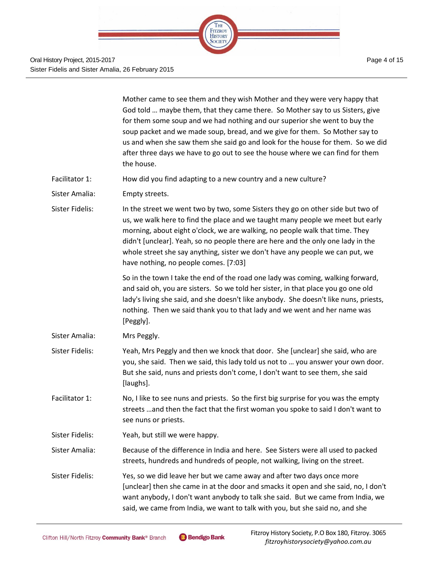

|                 | Mother came to see them and they wish Mother and they were very happy that<br>God told  maybe them, that they came there. So Mother say to us Sisters, give<br>for them some soup and we had nothing and our superior she went to buy the<br>soup packet and we made soup, bread, and we give for them. So Mother say to<br>us and when she saw them she said go and look for the house for them. So we did<br>after three days we have to go out to see the house where we can find for them<br>the house. |
|-----------------|-------------------------------------------------------------------------------------------------------------------------------------------------------------------------------------------------------------------------------------------------------------------------------------------------------------------------------------------------------------------------------------------------------------------------------------------------------------------------------------------------------------|
| Facilitator 1:  | How did you find adapting to a new country and a new culture?                                                                                                                                                                                                                                                                                                                                                                                                                                               |
| Sister Amalia:  | Empty streets.                                                                                                                                                                                                                                                                                                                                                                                                                                                                                              |
| Sister Fidelis: | In the street we went two by two, some Sisters they go on other side but two of<br>us, we walk here to find the place and we taught many people we meet but early<br>morning, about eight o'clock, we are walking, no people walk that time. They<br>didn't [unclear]. Yeah, so no people there are here and the only one lady in the<br>whole street she say anything, sister we don't have any people we can put, we<br>have nothing, no people comes. [7:03]                                             |
|                 | So in the town I take the end of the road one lady was coming, walking forward,<br>and said oh, you are sisters. So we told her sister, in that place you go one old<br>lady's living she said, and she doesn't like anybody. She doesn't like nuns, priests,<br>nothing. Then we said thank you to that lady and we went and her name was<br>[Peggly].                                                                                                                                                     |
| Sister Amalia:  | Mrs Peggly.                                                                                                                                                                                                                                                                                                                                                                                                                                                                                                 |
| Sister Fidelis: | Yeah, Mrs Peggly and then we knock that door. She [unclear] she said, who are<br>you, she said. Then we said, this lady told us not to  you answer your own door.<br>But she said, nuns and priests don't come, I don't want to see them, she said<br>[laughs].                                                                                                                                                                                                                                             |
| Facilitator 1:  | No, I like to see nuns and priests. So the first big surprise for you was the empty<br>streets  and then the fact that the first woman you spoke to said I don't want to<br>see nuns or priests.                                                                                                                                                                                                                                                                                                            |
| Sister Fidelis: | Yeah, but still we were happy.                                                                                                                                                                                                                                                                                                                                                                                                                                                                              |
| Sister Amalia:  | Because of the difference in India and here. See Sisters were all used to packed<br>streets, hundreds and hundreds of people, not walking, living on the street.                                                                                                                                                                                                                                                                                                                                            |
| Sister Fidelis: | Yes, so we did leave her but we came away and after two days once more<br>[unclear] then she came in at the door and smacks it open and she said, no, I don't<br>want anybody, I don't want anybody to talk she said. But we came from India, we<br>said, we came from India, we want to talk with you, but she said no, and she                                                                                                                                                                            |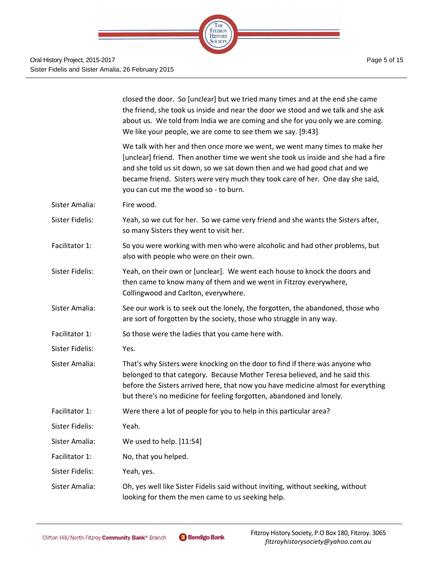

|                 | closed the door. So [unclear] but we tried many times and at the end she came<br>the friend, she took us inside and near the door we stood and we talk and she ask<br>about us. We told from India we are coming and she for you only we are coming.<br>We like your people, we are come to see them we say. [9:43]                                                      |
|-----------------|--------------------------------------------------------------------------------------------------------------------------------------------------------------------------------------------------------------------------------------------------------------------------------------------------------------------------------------------------------------------------|
|                 | We talk with her and then once more we went, we went many times to make her<br>[unclear] friend. Then another time we went she took us inside and she had a fire<br>and she told us sit down, so we sat down then and we had good chat and we<br>became friend. Sisters were very much they took care of her. One day she said,<br>you can cut me the wood so - to burn. |
| Sister Amalia:  | Fire wood.                                                                                                                                                                                                                                                                                                                                                               |
| Sister Fidelis: | Yeah, so we cut for her. So we came very friend and she wants the Sisters after,<br>so many Sisters they went to visit her.                                                                                                                                                                                                                                              |
| Facilitator 1:  | So you were working with men who were alcoholic and had other problems, but<br>also with people who were on their own.                                                                                                                                                                                                                                                   |
| Sister Fidelis: | Yeah, on their own or [unclear]. We went each house to knock the doors and<br>then came to know many of them and we went in Fitzroy everywhere,<br>Collingwood and Carlton, everywhere.                                                                                                                                                                                  |
| Sister Amalia:  | See our work is to seek out the lonely, the forgotten, the abandoned, those who<br>are sort of forgotten by the society, those who struggle in any way.                                                                                                                                                                                                                  |
| Facilitator 1:  | So those were the ladies that you came here with.                                                                                                                                                                                                                                                                                                                        |
| Sister Fidelis: | Yes.                                                                                                                                                                                                                                                                                                                                                                     |
| Sister Amalia:  | That's why Sisters were knocking on the door to find if there was anyone who<br>belonged to that category. Because Mother Teresa believed, and he said this<br>before the Sisters arrived here, that now you have medicine almost for everything<br>but there's no medicine for feeling forgotten, abandoned and lonely.                                                 |
| Facilitator 1:  | Were there a lot of people for you to help in this particular area?                                                                                                                                                                                                                                                                                                      |
| Sister Fidelis: | Yeah.                                                                                                                                                                                                                                                                                                                                                                    |
| Sister Amalia:  | We used to help. [11:54]                                                                                                                                                                                                                                                                                                                                                 |
| Facilitator 1:  | No, that you helped.                                                                                                                                                                                                                                                                                                                                                     |
| Sister Fidelis: | Yeah, yes.                                                                                                                                                                                                                                                                                                                                                               |
| Sister Amalia:  | Oh, yes well like Sister Fidelis said without inviting, without seeking, without<br>looking for them the men came to us seeking help.                                                                                                                                                                                                                                    |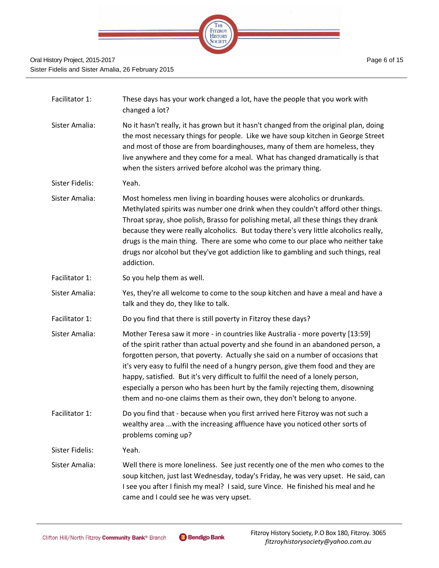

| Facilitator 1:  | These days has your work changed a lot, have the people that you work with<br>changed a lot?                                                                                                                                                                                                                                                                                                                                                                                                                                                                                              |
|-----------------|-------------------------------------------------------------------------------------------------------------------------------------------------------------------------------------------------------------------------------------------------------------------------------------------------------------------------------------------------------------------------------------------------------------------------------------------------------------------------------------------------------------------------------------------------------------------------------------------|
| Sister Amalia:  | No it hasn't really, it has grown but it hasn't changed from the original plan, doing<br>the most necessary things for people. Like we have soup kitchen in George Street<br>and most of those are from boardinghouses, many of them are homeless, they<br>live anywhere and they come for a meal. What has changed dramatically is that<br>when the sisters arrived before alcohol was the primary thing.                                                                                                                                                                                |
| Sister Fidelis: | Yeah.                                                                                                                                                                                                                                                                                                                                                                                                                                                                                                                                                                                     |
| Sister Amalia:  | Most homeless men living in boarding houses were alcoholics or drunkards.<br>Methylated spirits was number one drink when they couldn't afford other things.<br>Throat spray, shoe polish, Brasso for polishing metal, all these things they drank<br>because they were really alcoholics. But today there's very little alcoholics really,<br>drugs is the main thing. There are some who come to our place who neither take<br>drugs nor alcohol but they've got addiction like to gambling and such things, real<br>addiction.                                                         |
| Facilitator 1:  | So you help them as well.                                                                                                                                                                                                                                                                                                                                                                                                                                                                                                                                                                 |
| Sister Amalia:  | Yes, they're all welcome to come to the soup kitchen and have a meal and have a<br>talk and they do, they like to talk.                                                                                                                                                                                                                                                                                                                                                                                                                                                                   |
| Facilitator 1:  | Do you find that there is still poverty in Fitzroy these days?                                                                                                                                                                                                                                                                                                                                                                                                                                                                                                                            |
| Sister Amalia:  | Mother Teresa saw it more - in countries like Australia - more poverty [13:59]<br>of the spirit rather than actual poverty and she found in an abandoned person, a<br>forgotten person, that poverty. Actually she said on a number of occasions that<br>it's very easy to fulfil the need of a hungry person, give them food and they are<br>happy, satisfied. But it's very difficult to fulfil the need of a lonely person,<br>especially a person who has been hurt by the family rejecting them, disowning<br>them and no-one claims them as their own, they don't belong to anyone. |
| Facilitator 1:  | Do you find that - because when you first arrived here Fitzroy was not such a<br>wealthy area  with the increasing affluence have you noticed other sorts of<br>problems coming up?                                                                                                                                                                                                                                                                                                                                                                                                       |
| Sister Fidelis: | Yeah.                                                                                                                                                                                                                                                                                                                                                                                                                                                                                                                                                                                     |
| Sister Amalia:  | Well there is more loneliness. See just recently one of the men who comes to the<br>soup kitchen, just last Wednesday, today's Friday, he was very upset. He said, can<br>I see you after I finish my meal? I said, sure Vince. He finished his meal and he<br>came and I could see he was very upset.                                                                                                                                                                                                                                                                                    |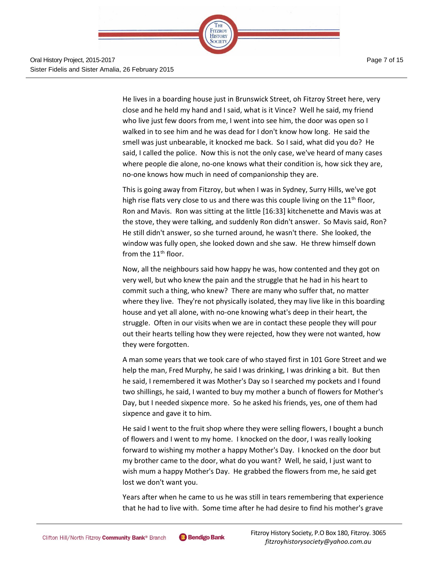

He lives in a boarding house just in Brunswick Street, oh Fitzroy Street here, very

close and he held my hand and I said, what is it Vince? Well he said, my friend who live just few doors from me, I went into see him, the door was open so I walked in to see him and he was dead for I don't know how long. He said the smell was just unbearable, it knocked me back. So I said, what did you do? He said, I called the police. Now this is not the only case, we've heard of many cases where people die alone, no-one knows what their condition is, how sick they are, no-one knows how much in need of companionship they are.

This is going away from Fitzroy, but when I was in Sydney, Surry Hills, we've got high rise flats very close to us and there was this couple living on the  $11<sup>th</sup>$  floor, Ron and Mavis. Ron was sitting at the little [16:33] kitchenette and Mavis was at the stove, they were talking, and suddenly Ron didn't answer. So Mavis said, Ron? He still didn't answer, so she turned around, he wasn't there. She looked, the window was fully open, she looked down and she saw. He threw himself down from the  $11<sup>th</sup>$  floor.

Now, all the neighbours said how happy he was, how contented and they got on very well, but who knew the pain and the struggle that he had in his heart to commit such a thing, who knew? There are many who suffer that, no matter where they live. They're not physically isolated, they may live like in this boarding house and yet all alone, with no-one knowing what's deep in their heart, the struggle. Often in our visits when we are in contact these people they will pour out their hearts telling how they were rejected, how they were not wanted, how they were forgotten.

A man some years that we took care of who stayed first in 101 Gore Street and we help the man, Fred Murphy, he said I was drinking, I was drinking a bit. But then he said, I remembered it was Mother's Day so I searched my pockets and I found two shillings, he said, I wanted to buy my mother a bunch of flowers for Mother's Day, but I needed sixpence more. So he asked his friends, yes, one of them had sixpence and gave it to him.

He said I went to the fruit shop where they were selling flowers, I bought a bunch of flowers and I went to my home. I knocked on the door, I was really looking forward to wishing my mother a happy Mother's Day. I knocked on the door but my brother came to the door, what do you want? Well, he said, I just want to wish mum a happy Mother's Day. He grabbed the flowers from me, he said get lost we don't want you.

Years after when he came to us he was still in tears remembering that experience that he had to live with. Some time after he had desire to find his mother's grave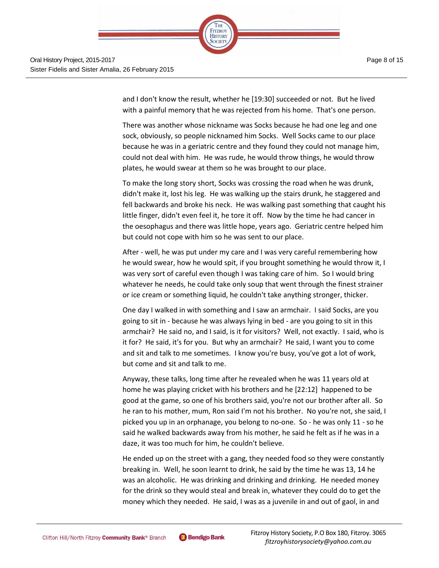

and I don't know the result, whether he [19:30] succeeded or not. But he lived with a painful memory that he was rejected from his home. That's one person.

There was another whose nickname was Socks because he had one leg and one sock, obviously, so people nicknamed him Socks. Well Socks came to our place because he was in a geriatric centre and they found they could not manage him, could not deal with him. He was rude, he would throw things, he would throw plates, he would swear at them so he was brought to our place.

To make the long story short, Socks was crossing the road when he was drunk, didn't make it, lost his leg. He was walking up the stairs drunk, he staggered and fell backwards and broke his neck. He was walking past something that caught his little finger, didn't even feel it, he tore it off. Now by the time he had cancer in the oesophagus and there was little hope, years ago. Geriatric centre helped him but could not cope with him so he was sent to our place.

After - well, he was put under my care and I was very careful remembering how he would swear, how he would spit, if you brought something he would throw it, I was very sort of careful even though I was taking care of him. So I would bring whatever he needs, he could take only soup that went through the finest strainer or ice cream or something liquid, he couldn't take anything stronger, thicker.

One day I walked in with something and I saw an armchair. I said Socks, are you going to sit in - because he was always lying in bed - are you going to sit in this armchair? He said no, and I said, is it for visitors? Well, not exactly. I said, who is it for? He said, it's for you. But why an armchair? He said, I want you to come and sit and talk to me sometimes. I know you're busy, you've got a lot of work, but come and sit and talk to me.

Anyway, these talks, long time after he revealed when he was 11 years old at home he was playing cricket with his brothers and he [22:12] happened to be good at the game, so one of his brothers said, you're not our brother after all. So he ran to his mother, mum, Ron said I'm not his brother. No you're not, she said, I picked you up in an orphanage, you belong to no-one. So - he was only 11 - so he said he walked backwards away from his mother, he said he felt as if he was in a daze, it was too much for him, he couldn't believe.

He ended up on the street with a gang, they needed food so they were constantly breaking in. Well, he soon learnt to drink, he said by the time he was 13, 14 he was an alcoholic. He was drinking and drinking and drinking. He needed money for the drink so they would steal and break in, whatever they could do to get the money which they needed. He said, I was as a juvenile in and out of gaol, in and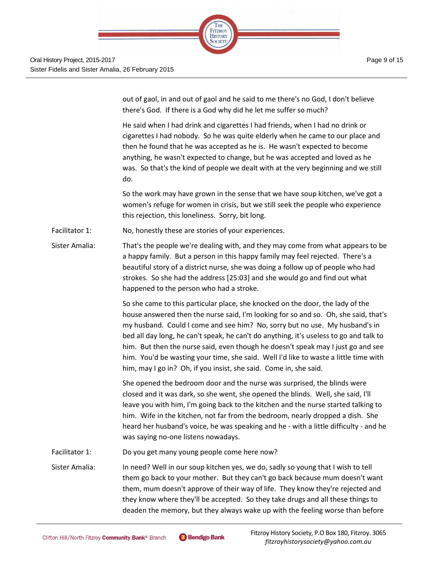

out of gaol, in and out of gaol and he said to me there's no God, I don't believe there's God. If there is a God why did he let me suffer so much?

He said when I had drink and cigarettes I had friends, when I had no drink or cigarettes I had nobody. So he was quite elderly when he came to our place and then he found that he was accepted as he is. He wasn't expected to become anything, he wasn't expected to change, but he was accepted and loved as he was. So that's the kind of people we dealt with at the very beginning and we still do.

So the work may have grown in the sense that we have soup kitchen, we've got a women's refuge for women in crisis, but we still seek the people who experience this rejection, this loneliness. Sorry, bit long.

#### Facilitator 1: No, honestly these are stories of your experiences.

Sister Amalia: That's the people we're dealing with, and they may come from what appears to be a happy family. But a person in this happy family may feel rejected. There's a beautiful story of a district nurse, she was doing a follow up of people who had strokes. So she had the address [25:03] and she would go and find out what happened to the person who had a stroke.

> So she came to this particular place, she knocked on the door, the lady of the house answered then the nurse said, I'm looking for so and so. Oh, she said, that's my husband. Could I come and see him? No, sorry but no use. My husband's in bed all day long, he can't speak, he can't do anything, it's useless to go and talk to him. But then the nurse said, even though he doesn't speak may I just go and see him. You'd be wasting your time, she said. Well I'd like to waste a little time with him, may I go in? Oh, if you insist, she said. Come in, she said.

> She opened the bedroom door and the nurse was surprised, the blinds were closed and it was dark, so she went, she opened the blinds. Well, she said, I'll leave you with him, I'm going back to the kitchen and the nurse started talking to him. Wife in the kitchen, not far from the bedroom, nearly dropped a dish. She heard her husband's voice, he was speaking and he - with a little difficulty - and he was saying no-one listens nowadays.

Facilitator 1: Do you get many young people come here now?

Sister Amalia: In need? Well in our soup kitchen yes, we do, sadly so young that I wish to tell them go back to your mother. But they can't go back because mum doesn't want them, mum doesn't approve of their way of life. They know they're rejected and they know where they'll be accepted. So they take drugs and all these things to deaden the memory, but they always wake up with the feeling worse than before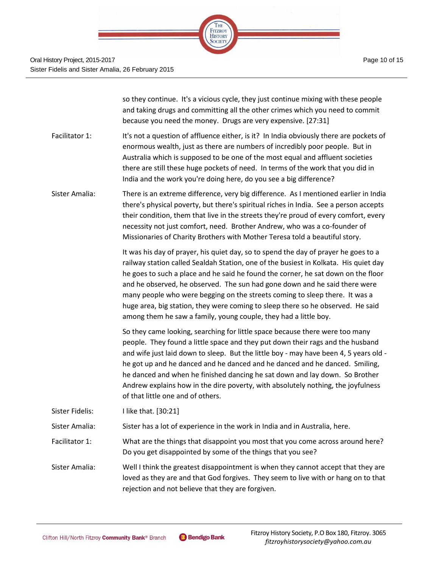

|                 | so they continue. It's a vicious cycle, they just continue mixing with these people<br>and taking drugs and committing all the other crimes which you need to commit<br>because you need the money. Drugs are very expensive. [27:31]                                                                                                                                                                                                                                                                                                                                                |
|-----------------|--------------------------------------------------------------------------------------------------------------------------------------------------------------------------------------------------------------------------------------------------------------------------------------------------------------------------------------------------------------------------------------------------------------------------------------------------------------------------------------------------------------------------------------------------------------------------------------|
| Facilitator 1:  | It's not a question of affluence either, is it? In India obviously there are pockets of<br>enormous wealth, just as there are numbers of incredibly poor people. But in<br>Australia which is supposed to be one of the most equal and affluent societies<br>there are still these huge pockets of need. In terms of the work that you did in<br>India and the work you're doing here, do you see a big difference?                                                                                                                                                                  |
| Sister Amalia:  | There is an extreme difference, very big difference. As I mentioned earlier in India<br>there's physical poverty, but there's spiritual riches in India. See a person accepts<br>their condition, them that live in the streets they're proud of every comfort, every<br>necessity not just comfort, need. Brother Andrew, who was a co-founder of<br>Missionaries of Charity Brothers with Mother Teresa told a beautiful story.                                                                                                                                                    |
|                 | It was his day of prayer, his quiet day, so to spend the day of prayer he goes to a<br>railway station called Sealdah Station, one of the busiest in Kolkata. His quiet day<br>he goes to such a place and he said he found the corner, he sat down on the floor<br>and he observed, he observed. The sun had gone down and he said there were<br>many people who were begging on the streets coming to sleep there. It was a<br>huge area, big station, they were coming to sleep there so he observed. He said<br>among them he saw a family, young couple, they had a little boy. |
|                 | So they came looking, searching for little space because there were too many<br>people. They found a little space and they put down their rags and the husband<br>and wife just laid down to sleep. But the little boy - may have been 4, 5 years old -<br>he got up and he danced and he danced and he danced and he danced. Smiling,<br>he danced and when he finished dancing he sat down and lay down. So Brother<br>Andrew explains how in the dire poverty, with absolutely nothing, the joyfulness<br>of that little one and of others.                                       |
| Sister Fidelis: | I like that. [30:21]                                                                                                                                                                                                                                                                                                                                                                                                                                                                                                                                                                 |
| Sister Amalia:  | Sister has a lot of experience in the work in India and in Australia, here.                                                                                                                                                                                                                                                                                                                                                                                                                                                                                                          |
| Facilitator 1:  | What are the things that disappoint you most that you come across around here?<br>Do you get disappointed by some of the things that you see?                                                                                                                                                                                                                                                                                                                                                                                                                                        |
| Sister Amalia:  | Well I think the greatest disappointment is when they cannot accept that they are<br>loved as they are and that God forgives. They seem to live with or hang on to that<br>rejection and not believe that they are forgiven.                                                                                                                                                                                                                                                                                                                                                         |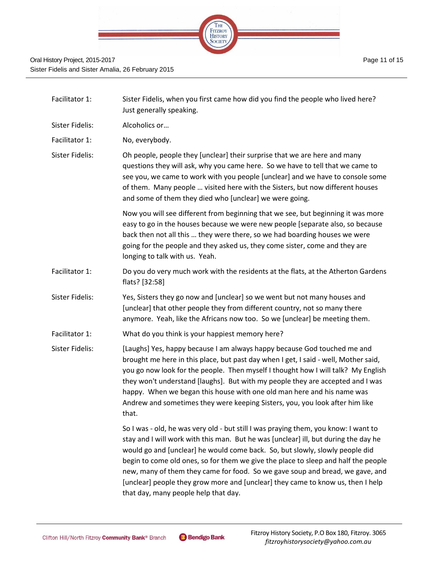

| Facilitator 1:  | Sister Fidelis, when you first came how did you find the people who lived here?<br>Just generally speaking.                                                                                                                                                                                                                                                                                                                                                                                                                                                  |
|-----------------|--------------------------------------------------------------------------------------------------------------------------------------------------------------------------------------------------------------------------------------------------------------------------------------------------------------------------------------------------------------------------------------------------------------------------------------------------------------------------------------------------------------------------------------------------------------|
| Sister Fidelis: | Alcoholics or                                                                                                                                                                                                                                                                                                                                                                                                                                                                                                                                                |
| Facilitator 1:  | No, everybody.                                                                                                                                                                                                                                                                                                                                                                                                                                                                                                                                               |
| Sister Fidelis: | Oh people, people they [unclear] their surprise that we are here and many<br>questions they will ask, why you came here. So we have to tell that we came to<br>see you, we came to work with you people [unclear] and we have to console some<br>of them. Many people  visited here with the Sisters, but now different houses<br>and some of them they died who [unclear] we were going.                                                                                                                                                                    |
|                 | Now you will see different from beginning that we see, but beginning it was more<br>easy to go in the houses because we were new people [separate also, so because<br>back then not all this  they were there, so we had boarding houses we were<br>going for the people and they asked us, they come sister, come and they are<br>longing to talk with us. Yeah.                                                                                                                                                                                            |
| Facilitator 1:  | Do you do very much work with the residents at the flats, at the Atherton Gardens<br>flats? [32:58]                                                                                                                                                                                                                                                                                                                                                                                                                                                          |
| Sister Fidelis: | Yes, Sisters they go now and [unclear] so we went but not many houses and<br>[unclear] that other people they from different country, not so many there<br>anymore. Yeah, like the Africans now too. So we [unclear] be meeting them.                                                                                                                                                                                                                                                                                                                        |
| Facilitator 1:  | What do you think is your happiest memory here?                                                                                                                                                                                                                                                                                                                                                                                                                                                                                                              |
| Sister Fidelis: | [Laughs] Yes, happy because I am always happy because God touched me and<br>brought me here in this place, but past day when I get, I said - well, Mother said,<br>you go now look for the people. Then myself I thought how I will talk? My English<br>they won't understand [laughs]. But with my people they are accepted and I was<br>happy. When we began this house with one old man here and his name was<br>Andrew and sometimes they were keeping Sisters, you, you look after him like<br>that.                                                    |
|                 | So I was - old, he was very old - but still I was praying them, you know: I want to<br>stay and I will work with this man. But he was [unclear] ill, but during the day he<br>would go and [unclear] he would come back. So, but slowly, slowly people did<br>begin to come old ones, so for them we give the place to sleep and half the people<br>new, many of them they came for food. So we gave soup and bread, we gave, and<br>[unclear] people they grow more and [unclear] they came to know us, then I help<br>that day, many people help that day. |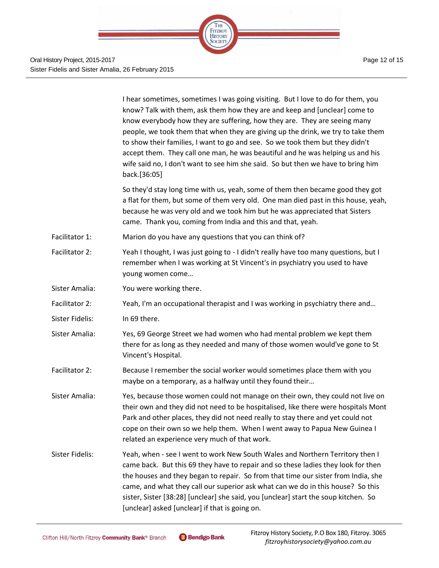

|                 | I hear sometimes, sometimes I was going visiting. But I love to do for them, you<br>know? Talk with them, ask them how they are and keep and [unclear] come to<br>know everybody how they are suffering, how they are. They are seeing many<br>people, we took them that when they are giving up the drink, we try to take them<br>to show their families, I want to go and see. So we took them but they didn't<br>accept them. They call one man, he was beautiful and he was helping us and his<br>wife said no, I don't want to see him she said. So but then we have to bring him<br>back.[36:05] |
|-----------------|--------------------------------------------------------------------------------------------------------------------------------------------------------------------------------------------------------------------------------------------------------------------------------------------------------------------------------------------------------------------------------------------------------------------------------------------------------------------------------------------------------------------------------------------------------------------------------------------------------|
|                 | So they'd stay long time with us, yeah, some of them then became good they got<br>a flat for them, but some of them very old. One man died past in this house, yeah,<br>because he was very old and we took him but he was appreciated that Sisters<br>came. Thank you, coming from India and this and that, yeah.                                                                                                                                                                                                                                                                                     |
| Facilitator 1:  | Marion do you have any questions that you can think of?                                                                                                                                                                                                                                                                                                                                                                                                                                                                                                                                                |
| Facilitator 2:  | Yeah I thought, I was just going to - I didn't really have too many questions, but I<br>remember when I was working at St Vincent's in psychiatry you used to have<br>young women come                                                                                                                                                                                                                                                                                                                                                                                                                 |
| Sister Amalia:  | You were working there.                                                                                                                                                                                                                                                                                                                                                                                                                                                                                                                                                                                |
| Facilitator 2:  | Yeah, I'm an occupational therapist and I was working in psychiatry there and                                                                                                                                                                                                                                                                                                                                                                                                                                                                                                                          |
| Sister Fidelis: | In 69 there.                                                                                                                                                                                                                                                                                                                                                                                                                                                                                                                                                                                           |
| Sister Amalia:  | Yes, 69 George Street we had women who had mental problem we kept them<br>there for as long as they needed and many of those women would've gone to St<br>Vincent's Hospital.                                                                                                                                                                                                                                                                                                                                                                                                                          |
| Facilitator 2:  | Because I remember the social worker would sometimes place them with you<br>maybe on a temporary, as a halfway until they found their                                                                                                                                                                                                                                                                                                                                                                                                                                                                  |
| Sister Amalia:  | Yes, because those women could not manage on their own, they could not live on<br>their own and they did not need to be hospitalised, like there were hospitals Mont<br>Park and other places, they did not need really to stay there and yet could not<br>cope on their own so we help them. When I went away to Papua New Guinea I<br>related an experience very much of that work.                                                                                                                                                                                                                  |
| Sister Fidelis: | Yeah, when - see I went to work New South Wales and Northern Territory then I<br>came back. But this 69 they have to repair and so these ladies they look for then<br>the houses and they began to repair. So from that time our sister from India, she<br>came, and what they call our superior ask what can we do in this house? So this<br>sister, Sister [38:28] [unclear] she said, you [unclear] start the soup kitchen. So<br>[unclear] asked [unclear] if that is going on.                                                                                                                    |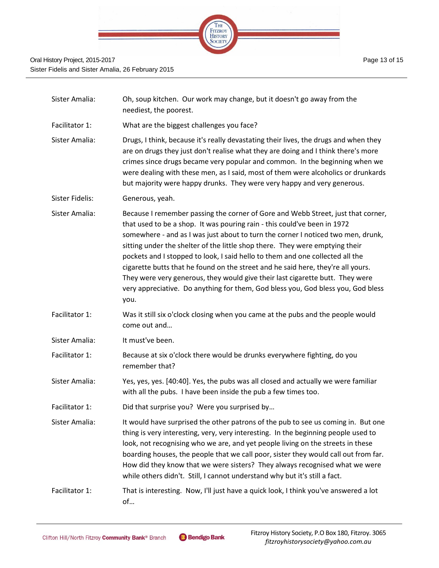

| Sister Amalia:  | Oh, soup kitchen. Our work may change, but it doesn't go away from the<br>neediest, the poorest.                                                                                                                                                                                                                                                                                                                                                                                                                                                                                                                                                                                   |
|-----------------|------------------------------------------------------------------------------------------------------------------------------------------------------------------------------------------------------------------------------------------------------------------------------------------------------------------------------------------------------------------------------------------------------------------------------------------------------------------------------------------------------------------------------------------------------------------------------------------------------------------------------------------------------------------------------------|
| Facilitator 1:  | What are the biggest challenges you face?                                                                                                                                                                                                                                                                                                                                                                                                                                                                                                                                                                                                                                          |
| Sister Amalia:  | Drugs, I think, because it's really devastating their lives, the drugs and when they<br>are on drugs they just don't realise what they are doing and I think there's more<br>crimes since drugs became very popular and common. In the beginning when we<br>were dealing with these men, as I said, most of them were alcoholics or drunkards<br>but majority were happy drunks. They were very happy and very generous.                                                                                                                                                                                                                                                           |
| Sister Fidelis: | Generous, yeah.                                                                                                                                                                                                                                                                                                                                                                                                                                                                                                                                                                                                                                                                    |
| Sister Amalia:  | Because I remember passing the corner of Gore and Webb Street, just that corner,<br>that used to be a shop. It was pouring rain - this could've been in 1972<br>somewhere - and as I was just about to turn the corner I noticed two men, drunk,<br>sitting under the shelter of the little shop there. They were emptying their<br>pockets and I stopped to look, I said hello to them and one collected all the<br>cigarette butts that he found on the street and he said here, they're all yours.<br>They were very generous, they would give their last cigarette butt. They were<br>very appreciative. Do anything for them, God bless you, God bless you, God bless<br>you. |
| Facilitator 1:  | Was it still six o'clock closing when you came at the pubs and the people would<br>come out and                                                                                                                                                                                                                                                                                                                                                                                                                                                                                                                                                                                    |
| Sister Amalia:  | It must've been.                                                                                                                                                                                                                                                                                                                                                                                                                                                                                                                                                                                                                                                                   |
| Facilitator 1:  | Because at six o'clock there would be drunks everywhere fighting, do you<br>remember that?                                                                                                                                                                                                                                                                                                                                                                                                                                                                                                                                                                                         |
| Sister Amalia:  | Yes, yes, yes. [40:40]. Yes, the pubs was all closed and actually we were familiar<br>with all the pubs. I have been inside the pub a few times too.                                                                                                                                                                                                                                                                                                                                                                                                                                                                                                                               |
| Facilitator 1:  | Did that surprise you? Were you surprised by                                                                                                                                                                                                                                                                                                                                                                                                                                                                                                                                                                                                                                       |
| Sister Amalia:  | It would have surprised the other patrons of the pub to see us coming in. But one<br>thing is very interesting, very, very interesting. In the beginning people used to<br>look, not recognising who we are, and yet people living on the streets in these<br>boarding houses, the people that we call poor, sister they would call out from far.<br>How did they know that we were sisters? They always recognised what we were<br>while others didn't. Still, I cannot understand why but it's still a fact.                                                                                                                                                                     |
| Facilitator 1:  | That is interesting. Now, I'll just have a quick look, I think you've answered a lot<br>of                                                                                                                                                                                                                                                                                                                                                                                                                                                                                                                                                                                         |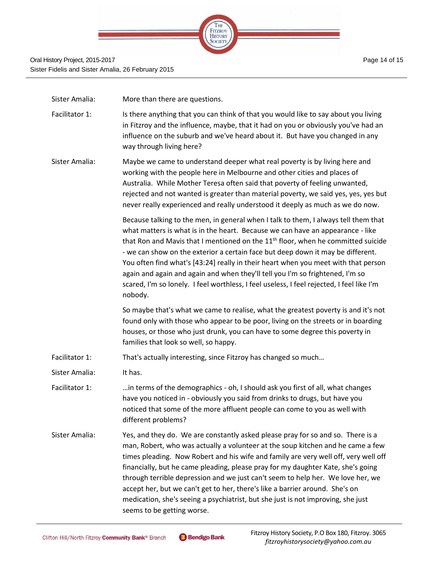

| Sister Amalia: | More than there are questions.                                                                                                                                                                                                                                                                                                                                                                                                                                                                                                                                                                                                          |
|----------------|-----------------------------------------------------------------------------------------------------------------------------------------------------------------------------------------------------------------------------------------------------------------------------------------------------------------------------------------------------------------------------------------------------------------------------------------------------------------------------------------------------------------------------------------------------------------------------------------------------------------------------------------|
| Facilitator 1: | Is there anything that you can think of that you would like to say about you living<br>in Fitzroy and the influence, maybe, that it had on you or obviously you've had an<br>influence on the suburb and we've heard about it. But have you changed in any<br>way through living here?                                                                                                                                                                                                                                                                                                                                                  |
| Sister Amalia: | Maybe we came to understand deeper what real poverty is by living here and<br>working with the people here in Melbourne and other cities and places of<br>Australia. While Mother Teresa often said that poverty of feeling unwanted,<br>rejected and not wanted is greater than material poverty, we said yes, yes, yes but<br>never really experienced and really understood it deeply as much as we do now.                                                                                                                                                                                                                          |
|                | Because talking to the men, in general when I talk to them, I always tell them that<br>what matters is what is in the heart. Because we can have an appearance - like<br>that Ron and Mavis that I mentioned on the 11 <sup>th</sup> floor, when he committed suicide<br>- we can show on the exterior a certain face but deep down it may be different.<br>You often find what's [43:24] really in their heart when you meet with that person<br>again and again and again and when they'll tell you I'm so frightened, I'm so<br>scared, I'm so lonely. I feel worthless, I feel useless, I feel rejected, I feel like I'm<br>nobody. |
|                | So maybe that's what we came to realise, what the greatest poverty is and it's not<br>found only with those who appear to be poor, living on the streets or in boarding<br>houses, or those who just drunk, you can have to some degree this poverty in<br>families that look so well, so happy.                                                                                                                                                                                                                                                                                                                                        |
| Facilitator 1: | That's actually interesting, since Fitzroy has changed so much                                                                                                                                                                                                                                                                                                                                                                                                                                                                                                                                                                          |
| Sister Amalia: | It has.                                                                                                                                                                                                                                                                                                                                                                                                                                                                                                                                                                                                                                 |
| Facilitator 1: | in terms of the demographics - oh, I should ask you first of all, what changes<br>have you noticed in - obviously you said from drinks to drugs, but have you<br>noticed that some of the more affluent people can come to you as well with<br>different problems?                                                                                                                                                                                                                                                                                                                                                                      |
| Sister Amalia: | Yes, and they do. We are constantly asked please pray for so and so. There is a<br>man, Robert, who was actually a volunteer at the soup kitchen and he came a few<br>times pleading. Now Robert and his wife and family are very well off, very well off<br>financially, but he came pleading, please pray for my daughter Kate, she's going<br>through terrible depression and we just can't seem to help her. We love her, we<br>accept her, but we can't get to her, there's like a barrier around. She's on<br>medication, she's seeing a psychiatrist, but she just is not improving, she just<br>seems to be getting worse.      |